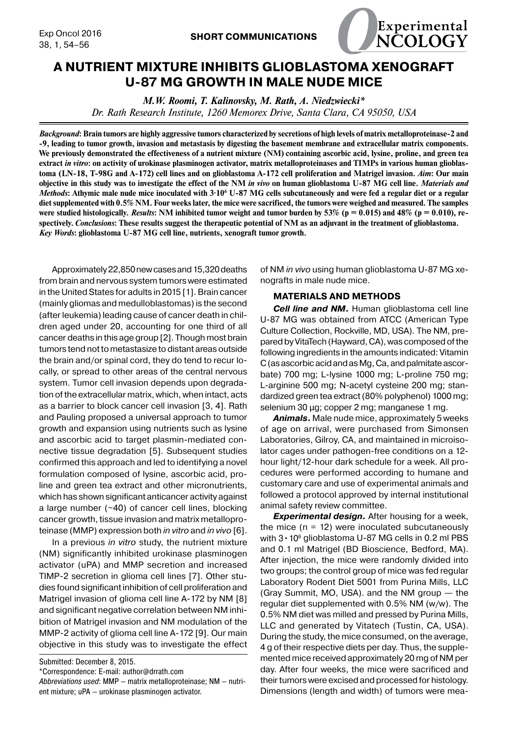

# **A NUTRIENT MIXTURE INHIBITS GLIOBLASTOMA XENOGRAFT U-87 MG GROWTH IN MALE NUDE MICE**

*M.W. Roomi, T. Kalinovsky, M. Rath, A. Niedzwiecki\* Dr. Rath Research Institute, 1260 Memorex Drive, Santa Clara, CA 95050, USA*

*Background***: Brain tumors are highly aggressive tumors characterized by secretions of high levels of matrix metalloproteinase-2 and -9, leading to tumor growth, invasion and metastasis by digesting the basement membrane and extracellular matrix components. We previously demonstrated the effectiveness of a nutrient mixture (NM) containing ascorbic acid, lysine, proline, and green tea extract** *in vitro***: on activity of urokinase plasminogen activator, matrix metalloproteinases and TIMPs in various human glioblastoma (LN-18, T-98G and A-172) cell lines and on glioblastoma A-172 cell proliferation and Matrigel invasion.** *Aim***: Our main objective in this study was to investigate the effect of the NM** *in vivo* **on human glioblastoma U-87 MG cell line.** *Materials and Methods*: Athymic male nude mice inoculated with 3·10<sup>°</sup> U-87 MG cells subcutaneously and were fed a regular diet or a regular **diet supplemented with 0.5% NM. Four weeks later, the mice were sacrificed, the tumors were weighed and measured. The samples**  were studied histologically. *Results*: NM inhibited tumor weight and tumor burden by  $53\%$  ( $p = 0.015$ ) and  $48\%$  ( $p = 0.010$ ), re**spectively.** *Conclusions***: These results suggest the therapeutic potential of NM as an adjuvant in the treatment of glioblastoma.** *Key Words***: glioblastoma U-87 MG cell line, nutrients, xenograft tumor growth.**

Approximately 22,850 new cases and 15,320 deaths from brain and nervous system tumors were estimated in the United States for adults in 2015 [1]. Brain cancer (mainly gliomas and medulloblastomas) is the second (after leukemia) leading cause of cancer death in children aged under 20, accounting for one third of all cancer deaths in this age group [2]. Though most brain tumors tend not to metastasize to distant areas outside the brain and/or spinal cord, they do tend to recur locally, or spread to other areas of the central nervous system. Tumor cell invasion depends upon degradation of the extracellular matrix, which, when intact, acts as a barrier to block cancer cell invasion [3, 4]. Rath and Pauling proposed a universal approach to tumor growth and expansion using nutrients such as lysine and ascorbic acid to target plasmin-mediated connective tissue degradation [5]. Subsequent studies confirmed this approach and led to identifying a novel formulation composed of lysine, ascorbic acid, proline and green tea extract and other micronutrients, which has shown significant anticancer activity against a large number (~40) of cancer cell lines, blocking cancer growth, tissue invasion and matrix metalloproteinase (MMP) expression both *in vitro* and *in vivo* [6].

In a previous *in vitro* study, the nutrient mixture (NM) significantly inhibited urokinase plasminogen activator (uPA) and MMP secretion and increased TIMP-2 secretion in glioma cell lines [7]. Other studies found significant inhibition of cell proliferation and Matrigel invasion of glioma cell line A-172 by NM [8] and significant negative correlation between NM inhibition of Matrigel invasion and NM modulation of the MMP-2 activity of glioma cell line A-172 [9]. Our main objective in this study was to investigate the effect

Submitted: December 8, 2015.

\*Correspondence: E-mail: author@drrath.com

of NM *in vivo* using human glioblastoma U-87 MG xenografts in male nude mice.

## **MATERIALS AND METHODS**

*Cell line and NM***.** Human glioblastoma cell line U-87 MG was obtained from ATCC (American Type Culture Collection, Rockville, MD, USA). The NM, prepared by VitaTech (Hayward, CA), was composed of the following ingredients in the amounts indicated: Vitamin C (as ascorbic acid and as Mg, Ca, and palmitate ascorbate) 700 mg; L-lysine 1000 mg; L-proline 750 mg; L-arginine 500 mg; N-acetyl cysteine 200 mg; standardized green tea extract (80% polyphenol) 1000 mg; selenium 30 μg; copper 2 mg; manganese 1 mg.

*Animals***.** Male nude mice, approximately 5 weeks of age on arrival, were purchased from Simonsen Laboratories, Gilroy, CA, and maintained in microisolator cages under pathogen-free conditions on a 12 hour light/12-hour dark schedule for a week. All procedures were performed according to humane and customary care and use of experimental animals and followed a protocol approved by internal institutional animal safety review committee.

*Experimental design.* After housing for a week, the mice  $(n = 12)$  were inoculated subcutaneously with  $3 \cdot 10^6$  glioblastoma U-87 MG cells in 0.2 ml PBS and 0.1 ml Matrigel (BD Bioscience, Bedford, MA). After injection, the mice were randomly divided into two groups; the control group of mice was fed regular Laboratory Rodent Diet 5001 from Purina Mills, LLC (Gray Summit, MO, USA). and the NM group — the regular diet supplemented with 0.5% NM (w/w). The 0.5% NM diet was milled and pressed by Purina Mills, LLC and generated by Vitatech (Tustin, CA, USA). During the study, the mice consumed, on the average, 4 g of their respective diets per day. Thus, the supplemented mice received approximately 20 mg of NM per day. After four weeks, the mice were sacrificed and their tumors were excised and processed for histology. Dimensions (length and width) of tumors were mea-

*Abbreviations used*: MMP — matrix metalloproteinase; NM — nutrient mixture; uPA — urokinase plasminogen activator.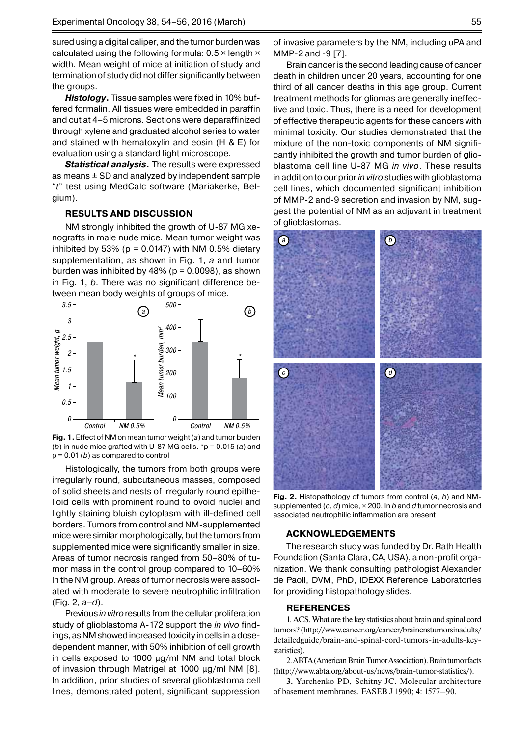sured using a digital caliper, and the tumor burden was calculated using the following formula:  $0.5 \times$  length  $\times$ width. Mean weight of mice at initiation of study and termination of study did not differ significantly between the groups.

*Histology***.** Tissue samples were fixed in 10% buffered formalin. All tissues were embedded in paraffin and cut at 4–5 microns. Sections were deparaffinized through xylene and graduated alcohol series to water and stained with hematoxylin and eosin (H & E) for evaluation using a standard light microscope.

*Statistical analysis***.** The results were expressed as means  $\pm$  SD and analyzed by independent sample "*t*" test using MedCalc software (Mariakerke, Belgium).

# **RESULTS AND DISCUSSION**

NM strongly inhibited the growth of U-87 MG xenografts in male nude mice. Mean tumor weight was inhibited by 53% ( $p = 0.0147$ ) with NM 0.5% dietary supplementation, as shown in Fig. 1, *a* and tumor burden was inhibited by 48% ( $p = 0.0098$ ), as shown in Fig. 1, *b*. There was no significant difference between mean body weights of groups of mice.



**Fig. 1.** Effect of NM on mean tumor weight (*a*) and tumor burden (*b*) in nude mice grafted with U-87 MG cells. \*p = 0.015 (*a*) and p = 0.01 (*b*) as compared to control

Histologically, the tumors from both groups were irregularly round, subcutaneous masses, composed of solid sheets and nests of irregularly round epithelioid cells with prominent round to ovoid nuclei and lightly staining bluish cytoplasm with ill-defined cell borders. Tumors from control and NM-supplemented mice were similar morphologically, but the tumors from supplemented mice were significantly smaller in size. Areas of tumor necrosis ranged from 50–80% of tumor mass in the control group compared to 10–60% in the NM group. Areas of tumor necrosis were associated with moderate to severe neutrophilic infiltration (Fig. 2, *a–d*).

Previous *in vitro* results from the cellular proliferation study of glioblastoma A-172 support the *in vivo* findings, as NM showed increased toxicity in cells in a dosedependent manner, with 50% inhibition of cell growth in cells exposed to 1000 μg/ml NM and total block of invasion through Matrigel at 1000 μg/ml NM [8]. In addition, prior studies of several glioblastoma cell lines, demonstrated potent, significant suppression

of invasive parameters by the NM, including uPA and MMP-2 and -9 [7].

Brain cancer is the second leading cause of cancer death in children under 20 years, accounting for one third of all cancer deaths in this age group. Current treatment methods for gliomas are generally ineffective and toxic. Thus, there is a need for development of effective therapeutic agents for these cancers with minimal toxicity. Our studies demonstrated that the mixture of the non-toxic components of NM significantly inhibited the growth and tumor burden of glioblastoma cell line U-87 MG *in vivo*. These results in addition to our prior *in vitro* studies with glioblastoma cell lines, which documented significant inhibition of MMP-2 and-9 secretion and invasion by NM, suggest the potential of NM as an adjuvant in treatment of glioblastomas.



**Fig. 2.** Histopathology of tumors from control (*a*, *b*) and NMsupplemented (*c*, *d*) mice, × 200. In *b* and *d* tumor necrosis and associated neutrophilic inflammation are present

### **Acknowledgements**

The research study was funded by Dr. Rath Health Foundation (Santa Clara, CA, USA), a non-profit organization. We thank consulting pathologist Alexander de Paoli, DVM, PhD, IDEXX Reference Laboratories for providing histopathology slides.

#### **REFERENCES**

1. ACS. What are the key statistics about brain and spinal cord tumors? (http://www.cancer.org/cancer/braincnstumorsinadults/ detailedguide/brain-and-spinal-cord-tumors-in-adults-keystatistics).

2. ABTA (American Brain Tumor Association). Brain tumor facts (http://www.abta.org/about-us/news/brain-tumor-statistics/).

**3.** Yurchenko PD, Schitny JC. Molecular architecture of basement membranes. FASEB J 1990; **4**: 1577–90.